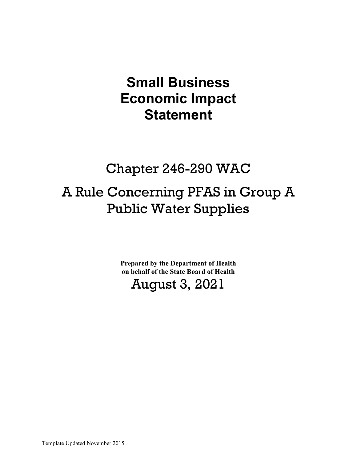# **Small Business Economic Impact Statement**

## Chapter 246-290 WAC

# A Rule Concerning PFAS in Group A Public Water Supplies

**Prepared by the Department of Health on behalf of the State Board of Health**

## August 3, 2021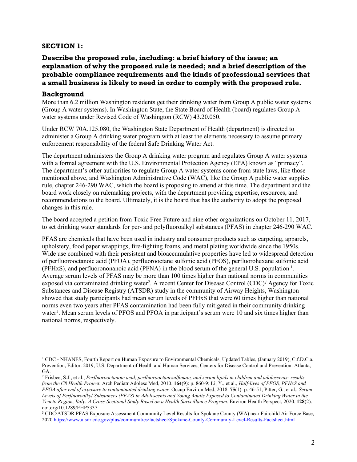#### **SECTION 1:**

## **Describe the proposed rule, including: a brief history of the issue; an explanation of why the proposed rule is needed; and a brief description of the probable compliance requirements and the kinds of professional services that a small business is likely to need in order to comply with the proposed rule.**

#### **Background**

More than 6.2 million Washington residents get their drinking water from Group A public water systems (Group A water systems). In Washington State, the State Board of Health (board) regulates Group A water systems under Revised Code of Washington (RCW) 43.20.050.

Under RCW 70A.125.080, the Washington State Department of Health (department) is directed to administer a Group A drinking water program with at least the elements necessary to assume primary enforcement responsibility of the federal Safe Drinking Water Act.

The department administers the Group A drinking water program and regulates Group A water systems with a formal agreement with the U.S. Environmental Protection Agency (EPA) known as "primacy". The department's other authorities to regulate Group A water systems come from state laws, like those mentioned above, and Washington Administrative Code (WAC), like the Group A public water supplies rule, chapter 246-290 WAC, which the board is proposing to amend at this time. The department and the board work closely on rulemaking projects, with the department providing expertise, resources, and recommendations to the board. Ultimately, it is the board that has the authority to adopt the proposed changes in this rule.

The board accepted a petition from Toxic Free Future and nine other organizations on October 11, 2017, to set drinking water standards for per- and polyfluoroalkyl substances (PFAS) in chapter 246-290 WAC.

PFAS are chemicals that have been used in industry and consumer products such as carpeting, apparels, upholstery, food paper wrappings, fire-fighting foams, and metal plating worldwide since the 1950s. Wide use combined with their persistent and bioaccumulative properties have led to widespread detection of perfluorooctanoic acid (PFOA), perfluorooctane sulfonic acid (PFOS), perfluorohexane sulfonic acid (PFHxS), and perfluorononanoic acid (PFNA) in the blood serum of the general U.S. population <sup>[1](#page-1-0)</sup>. Average serum levels of PFAS may be more than 100 times higher than national norms in communities exposed via contaminated drinking water<sup>[2](#page-1-1)</sup>. A recent Center for Disease Control (CDC)/ Agency for Toxic Substances and Disease Registry (ATSDR) study in the community of Airway Heights, Washington showed that study participants had mean serum levels of PFHxS that were 60 times higher than national norms even two years after PFAS contamination had been fully mitigated in their community drinking water<sup>[3](#page-1-2)</sup>. Mean serum levels of PFOS and PFOA in participant's serum were 10 and six times higher than national norms, respectively.

<span id="page-1-0"></span><sup>1</sup> CDC - NHANES, Fourth Report on Human Exposure to Environmental Chemicals, Updated Tables, (January 2019), C.f.D.C.a. Prevention, Editor. 2019, U.S. Department of Health and Human Services, Centers for Disease Control and Prevention: Atlanta, GA.

<span id="page-1-1"></span><sup>2</sup> Frisbee, S.J., et al., *Perfluorooctanoic acid, perfluorooctanesulfonate, and serum lipids in children and adolescents: results from the C8 Health Project.* Arch Pediatr Adolesc Med, 2010. **164**(9): p. 860-9; Li, Y., et al., *Half-lives of PFOS, PFHxS and PFOA after end of exposure to contaminated drinking water.* Occup Environ Med, 2018. **75**(1): p. 46-51; Pitter, G., et al., *Serum Levels of Perfluoroalkyl Substances (PFAS) in Adolescents and Young Adults Exposed to Contaminated Drinking Water in the Veneto Region, Italy: A Cross-Sectional Study Based on a Health Surveillance Program.* Environ Health Perspect, 2020. **128**(2): doi.org/10.1289/EHP5337.

<span id="page-1-2"></span><sup>3</sup> CDC/ATSDR PFAS Exposure Assessment Community Level Results for Spokane County (WA) near Fairchild Air Force Base, 202[0 https://www.atsdr.cdc.gov/pfas/communities/factsheet/Spokane-County-Community-Level-Results-Factsheet.html](https://www.atsdr.cdc.gov/pfas/communities/factsheet/Spokane-County-Community-Level-Results-Factsheet.html)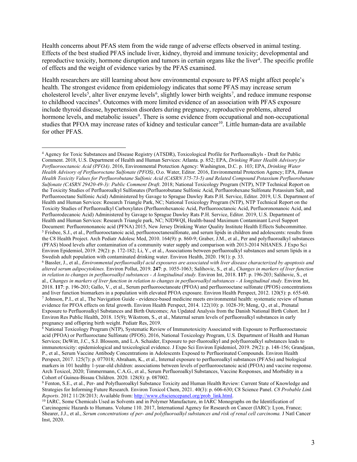Health concerns about PFAS stem from the wide range of adverse effects observed in animal testing. Effects of the best studied PFAS include liver, kidney, thyroid and immune toxicity; developmental and reproductive toxicity, hormone disruption and tumors in certain organs like the liver<sup>[4](#page-2-0)</sup>. The specific profile of effects and the weight of evidence varies by the PFAS examined.

Health researchers are still learning about how environmental exposure to PFAS might affect people's health. The strongest evidence from epidemiology indicates that some PFAS may increase serum cholesterol levels<sup>[5](#page-2-1)</sup>, alter liver enzyme levels<sup>[6](#page-2-2)</sup>, slightly lower birth weights<sup>[7](#page-2-3)</sup>, and reduce immune response to childhood vaccines<sup>[8](#page-2-4)</sup>. Outcomes with more limited evidence of an association with PFAS exposure include thyroid disease, hypertension disorders during pregnancy, reproductive problems, altered hormone levels, and metabolic issues<sup>[9](#page-2-5)</sup>. There is some evidence from occupational and non-occupational studies that PFOA may increase rates of kidney and testicular cancer<sup>10</sup>. Little human-data are available for other PFAS.

<span id="page-2-0"></span><sup>4</sup> Agency for Toxic Substances and Disease Registry (ATSDR), Toxicological Profile for Perfluoroalkyls - Draft for Public Comment. 2018, U.S. Department of Health and Human Services: Atlanta. p. 852; EPA, *Drinking Water Health Advisory for Perfluorooctanoic Acid (PFOA)*. 2016, Environmental Protection Agency: Washington, D.C. p. 103; EPA, *Drinking Water Health Advisory of Perfluoroctane Sulfonate (PFOS)*, O.o. Water, Editor. 2016, Environmental Protection Agency; EPA, *Human Health Toxicity Values for Perfluorobutane Sulfonic Acid (CASRN 375-73-5) and Related Compound Potassium Perfluorobutane Sulfonate (CASRN 29420-49-3): Public Comment Draft*. 2018; National Toxicology Program (NTP), NTP Technical Report on the Toxicity Studies of Perfluoroalkyl Sulfonates (Perfluorobutane Sulfonic Acid, Perfluorohexane Sulfonate Potassium Salt, and Perfluorooctane Sulfonic Acid) Administered by Gavage to Sprague Dawley Rats P.H. Service, Editor. 2019, U.S. Department of Health and Human Services: Research Triangle Park, NC; National Toxicology Program (NTP), NTP Technical Report on the Toxicity Studies of Perfluoroalkyl Carboxylates (Perfluorohexanoic Acid, Perfluorooctanoic Acid, Perfluorononanoic Acid, and Perfluorodecanoic Acid) Administered by Gavage to Sprague Dawley Rats P.H. Service, Editor. 2019, U.S. Department of Health and Human Services: Research Triangle park, NC; NJDWQI, Health-based Maximum Contaminant Level Support Document: Perfluorononanoic acid (PFNA) 2015, New Jersey Drinking Water Quality Institute Health Effects Subcommittee. <sup>5</sup> Frisbee, S.J., et al., Perfluorooctanoic acid, perfluorooctanesulfonate, and serum lipids in children and adolescents: results from the C8 Health Project. Arch Pediatr Adolesc Med, 2010. 164(9): p. 860-9; Graber, J.M., et al., Per and polyfluoroalkyl substances (PFAS) blood levels after contamination of a community water supply and comparison with 2013-2014 NHANES. J Expo Sci Environ Epidemiol, 2019. 29(2): p. 172-182; Li, Y., et al., Associations between perfluoroalkyl substances and serum lipids in a Swedish adult population with contaminated drinking water. Environ Health, 2020. 19(1): p. 33.

<span id="page-2-2"></span><span id="page-2-1"></span><sup>6</sup> Bassler, J., et al., *Environmental perfluoroalkyl acid exposures are associated with liver disease characterized by apoptosis and altered serum adipocytokines.* Environ Pollut, 2019. **247**: p. 1055-1063; Salihovic, S., et al., *Changes in markers of liver function in relation to changes in perfluoroalkyl substances - A longitudinal study.* Environ Int, 2018. **117**: p. 196-203; Salihovic, S., et al., *Changes in markers of liver function in relation to changes in perfluoroalkyl substances - A longitudinal study.* Environ Int, 2018. **117**: p. 196-203; Gallo, V., et al., Serum perfluorooctanoate (PFOA) and perfluorooctane sulfonate (PFOS) concentrations and liver function biomarkers in a population with elevated PFOA exposure. Environ Health Perspect, 2012. 120(5): p. 655-60. <sup>7</sup> Johnson, P.I., et al., The Navigation Guide - evidence-based medicine meets environmental health: systematic review of human evidence for PFOA effects on fetal growth. Environ Health Perspect, 2014. 122(10): p. 1028-39; Meng, Q., et al., Prenatal Exposure to Perfluoroalkyl Substances and Birth Outcomes; An Updated Analysis from the Danish National Birth Cohort. Int J Environ Res Public Health, 2018. 15(9); Wikstrom, S., et al., Maternal serum levels of perfluoroalkyl substances in early pregnancy and offspring birth weight. Pediatr Res, 2019.

<span id="page-2-4"></span><span id="page-2-3"></span><sup>8</sup> National Toxicology Program (NTP), Systematic Review of Immunotoxicity Associated with Exposure to Perfluorooctanoic acid (PFOA) or Perfluoroctane Sulfonate (PFOS). 2016, National Toxicology Program, U.S. Department of Health and Human Services; DeWitt, J.C., S.J. Blossom, and L.A. Schaider, Exposure to per-fluoroalkyl and polyfluoroalkyl substances leads to immunotoxicity: epidemiological and toxicological evidence. J Expo Sci Environ Epidemiol, 2019. 29(2): p. 148-156; Grandjean, P., et al., Serum Vaccine Antibody Concentrations in Adolescents Exposed to Perfluorinated Compounds. Environ Health Perspect, 2017. 125(7): p. 077018; Abraham, K., et al., Internal exposure to perfluoroalkyl substances (PFASs) and biological markers in 101 healthy 1-year-old children: associations between levels of perfluorooctanoic acid (PFOA) and vaccine response. Arch Toxicol, 2020; Timmermann, C.A.G., et al., Serum Perfluoroalkyl Substances, Vaccine Responses, and Morbidity in a Cohort of Guinea-Bissau Children. 2020. 128(8): p. 087002.

<span id="page-2-5"></span><sup>9</sup> Fenton, S.E., et al., Per- and Polyfluoroalkyl Substance Toxicity and Human Health Review: Current State of Knowledge and Strategies for Informing Future Research. Environ Toxicol Chem, 2021. 40(3): p. 606-630; C8 Science Panel. *C8 Probable Link Reports*. 2012 11/28/2013; Available from: [http://www.c8sciencepanel.org/prob\\_link.html.](http://www.c8sciencepanel.org/prob_link.html)

<span id="page-2-6"></span><sup>&</sup>lt;sup>10</sup> IARC, Some Chemicals Used as Solvents and in Polymer Manufacture, in IARC Monographs on the Identification of Carcinogenic Hazards to Humans. Volume 110. 2017, International Agency for Research on Cancer (IARC): Lyon, France; Shearer, J.J., et al., *Serum concentrations of per- and polyfluoroalkyl substances and risk of renal cell carcinoma.* J Natl Cancer Inst, 2020.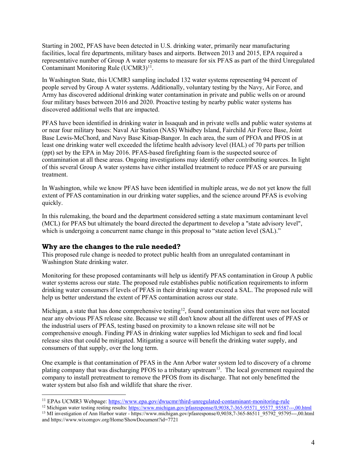Starting in 2002, PFAS have been detected in U.S. drinking water, primarily near manufacturing facilities, local fire departments, military bases and airports. Between 2013 and 2015, EPA required a representative number of Group A water systems to measure for six PFAS as part of the third Unregulated Contaminant Monitoring Rule (UCMR3)<sup>11</sup>.

In Washington State, this UCMR3 sampling included 132 water systems representing 94 percent of people served by Group A water systems. Additionally, voluntary testing by the Navy, Air Force, and Army has discovered additional drinking water contamination in private and public wells on or around four military bases between 2016 and 2020. Proactive testing by nearby public water systems has discovered additional wells that are impacted.

PFAS have been identified in drinking water in Issaquah and in private wells and public water systems at or near four military bases: Naval Air Station (NAS) Whidbey Island, Fairchild Air Force Base, Joint Base Lewis-McChord, and Navy Base Kitsap-Bangor. In each area, the sum of PFOA and PFOS in at least one drinking water well exceeded the lifetime health advisory level (HAL) of 70 parts per trillion (ppt) set by the EPA in May 2016. PFAS-based firefighting foam is the suspected source of contamination at all these areas. Ongoing investigations may identify other contributing sources. In light of this several Group A water systems have either installed treatment to reduce PFAS or are pursuing treatment.

In Washington, while we know PFAS have been identified in multiple areas, we do not yet know the full extent of PFAS contamination in our drinking water supplies, and the science around PFAS is evolving quickly.

In this rulemaking, the board and the department considered setting a state maximum contaminant level (MCL) for PFAS but ultimately the board directed the department to develop a "state advisory level", which is undergoing a concurrent name change in this proposal to "state action level (SAL)."

#### **Why are the changes to the rule needed?**

This proposed rule change is needed to protect public health from an unregulated contaminant in Washington State drinking water.

Monitoring for these proposed contaminants will help us identify PFAS contamination in Group A public water systems across our state. The proposed rule establishes public notification requirements to inform drinking water consumers if levels of PFAS in their drinking water exceed a SAL. The proposed rule will help us better understand the extent of PFAS contamination across our state.

Michigan, a state that has done comprehensive testing<sup>[12](#page-3-1)</sup>, found contamination sites that were not located near any obvious PFAS release site. Because we still don't know about all the different uses of PFAS or the industrial users of PFAS, testing based on proximity to a known release site will not be comprehensive enough. Finding PFAS in drinking water supplies led Michigan to seek and find local release sites that could be mitigated. Mitigating a source will benefit the drinking water supply, and consumers of that supply, over the long term.

One example is that contamination of PFAS in the Ann Arbor water system led to discovery of a chrome plating company that was discharging PFOS to a tributary upstream<sup>13</sup>. The local government required the company to install pretreatment to remove the PFOS from its discharge. That not only benefitted the water system but also fish and wildlife that share the river.

<span id="page-3-0"></span><sup>&</sup>lt;sup>11</sup> EPAs UCMR3 Webpage:<https://www.epa.gov/dwucmr/third-unregulated-contaminant-monitoring-rule><br><sup>12</sup> Michigan water testing resting results: https://www.michigan.gov/pfasresponse/0,9038.7-365-95571 95577 95587---,00.html

<span id="page-3-2"></span><span id="page-3-1"></span><sup>&</sup>lt;sup>13</sup> MI investigation of Ann Harbor water - https://www.michigan.gov/pfasresponse/0,9038,7-365-86511\_95792\_95795---,00.html and https://www.wixomgov.org/Home/ShowDocument?id=7721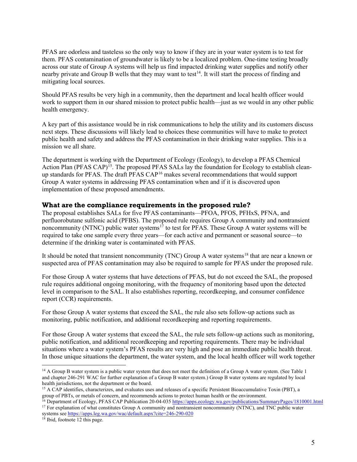PFAS are odorless and tasteless so the only way to know if they are in your water system is to test for them. PFAS contamination of groundwater is likely to be a localized problem. One-time testing broadly across our state of Group A systems will help us find impacted drinking water supplies and notify other nearby private and Group B wells that they may want to test<sup>[14](#page-4-0)</sup>. It will start the process of finding and mitigating local sources.

Should PFAS results be very high in a community, then the department and local health officer would work to support them in our shared mission to protect public health—just as we would in any other public health emergency.

A key part of this assistance would be in risk communications to help the utility and its customers discuss next steps. These discussions will likely lead to choices these communities will have to make to protect public health and safety and address the PFAS contamination in their drinking water supplies. This is a mission we all share.

The department is working with the Department of Ecology (Ecology), to develop a PFAS Chemical Action Plan (PFAS CAP)<sup>[15](#page-4-1)</sup>. The proposed PFAS SALs lay the foundation for Ecology to establish cleanup standards for PFAS. The draft PFAS  $CAP<sup>16</sup>$  $CAP<sup>16</sup>$  $CAP<sup>16</sup>$  makes several recommendations that would support Group A water systems in addressing PFAS contamination when and if it is discovered upon implementation of these proposed amendments.

#### **What are the compliance requirements in the proposed rule?**

The proposal establishes SALs for five PFAS contaminants—PFOA, PFOS, PFHxS, PFNA, and perfluorobutane sulfonic acid (PFBS). The proposed rule requires Group A community and nontransient noncommunity (NTNC) public water systems<sup>[17](#page-4-3)</sup> to test for PFAS. These Group A water systems will be required to take one sample every three years—for each active and permanent or seasonal source—to determine if the drinking water is contaminated with PFAS.

It should be noted that transient noncommunity (TNC) Group A water systems<sup>[18](#page-4-4)</sup> that are near a known or suspected area of PFAS contamination may also be required to sample for PFAS under the proposed rule.

For those Group A water systems that have detections of PFAS, but do not exceed the SAL, the proposed rule requires additional ongoing monitoring, with the frequency of monitoring based upon the detected level in comparison to the SAL. It also establishes reporting, recordkeeping, and consumer confidence report (CCR) requirements.

For those Group A water systems that exceed the SAL, the rule also sets follow-up actions such as monitoring, public notification, and additional recordkeeping and reporting requirements.

For those Group A water systems that exceed the SAL, the rule sets follow-up actions such as monitoring, public notification, and additional recordkeeping and reporting requirements. There may be individual situations where a water system's PFAS results are very high and pose an immediate public health threat. In those unique situations the department, the water system, and the local health officer will work together

<span id="page-4-0"></span><sup>&</sup>lt;sup>14</sup> A Group B water system is a public water system that does not meet the definition of a Group A water system. (See Table 1 and chapter 246-291 WAC for further explanation of a Group B water system.) Group B water systems are regulated by local health jurisdictions, not the department or the board.

<span id="page-4-1"></span><sup>&</sup>lt;sup>15</sup> A CAP identifies, characterizes, and evaluates uses and releases of a specific Persistent Bioaccumulative Toxin (PBT), a group of PBTs, or metals of concern, and recommends actions to protect human health or the environment.

<sup>&</sup>lt;sup>16</sup> Department of Ecology, PFAS CAP Publication 20-04-03[5 https://apps.ecology.wa.gov/publications/SummaryPages/1810001.html](https://apps.ecology.wa.gov/publications/SummaryPages/1810001.html)

<span id="page-4-3"></span><span id="page-4-2"></span><sup>&</sup>lt;sup>17</sup> For explanation of what constitutes Group A community and nontransient noncommunity (NTNC), and TNC public water systems se[e https://apps.leg.wa.gov/wac/default.aspx?cite=246-290-020](https://apps.leg.wa.gov/wac/default.aspx?cite=246-290-020)

<span id="page-4-4"></span><sup>&</sup>lt;sup>18</sup> Ibid, footnote 12 this page.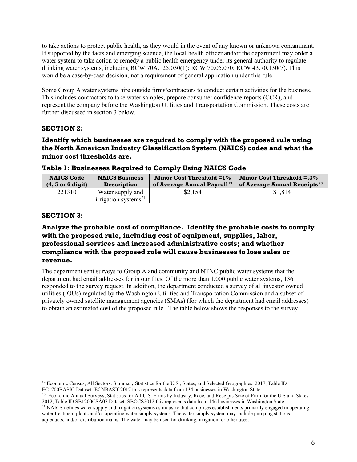to take actions to protect public health, as they would in the event of any known or unknown contaminant. If supported by the facts and emerging science, the local health officer and/or the department may order a water system to take action to remedy a public health emergency under its general authority to regulate drinking water systems, including RCW 70A.125.030(1); RCW 70.05.070; RCW 43.70.130(7). This would be a case-by-case decision, not a requirement of general application under this rule.

Some Group A water systems hire outside firms/contractors to conduct certain activities for the business. This includes contractors to take water samples, prepare consumer confidence reports (CCR), and represent the company before the Washington Utilities and Transportation Commission. These costs are further discussed in section 3 below.

## **SECTION 2:**

## **Identify which businesses are required to comply with the proposed rule using the North American Industry Classification System (NAICS) codes and what the minor cost thresholds are.**

| <b>NAICS Code</b>     | <b>NAICS Business</b>                          | Minor Cost Threshold $=1\%$             | <b>Minor Cost Threshold = <math>.3\%</math></b> |
|-----------------------|------------------------------------------------|-----------------------------------------|-------------------------------------------------|
| $(4, 5$ or $6$ digit) | <b>Description</b>                             | of Average Annual Payroll <sup>19</sup> | of Average Annual Receipts <sup>20</sup>        |
| 221310                | Water supply and<br>irrigation systems $^{21}$ | \$2,154                                 | \$1,814                                         |

## **Table 1: Businesses Required to Comply Using NAICS Code**

#### **SECTION 3:**

## **Analyze the probable cost of compliance. Identify the probable costs to comply with the proposed rule, including cost of equipment, supplies, labor, professional services and increased administrative costs; and whether compliance with the proposed rule will cause businesses to lose sales or revenue.**

The department sent surveys to Group A and community and NTNC public water systems that the department had email addresses for in our files. Of the more than 1,000 public water systems, 136 responded to the survey request. In addition, the department conducted a survey of all investor owned utilities (IOUs) regulated by the Washington Utilities and Transportation Commission and a subset of privately owned satellite management agencies (SMAs) (for which the department had email addresses) to obtain an estimated cost of the proposed rule. The table below shows the responses to the survey.

<span id="page-5-0"></span><sup>19</sup> Economic Census, All Sectors: Summary Statistics for the U.S., States, and Selected Geographies: 2017, Table ID EC1700BASIC Dataset: ECNBASIC2017 this represents data from 134 businesses in Washington State.

<span id="page-5-1"></span><sup>&</sup>lt;sup>20</sup> Economic Annual Surveys, Statistics for All U.S. Firms by Industry, Race, and Receipts Size of Firm for the U.S and States: 2012, Table ID SB1200CSA07 Dataset: SBOCS2012 this represents data from 146 businesses in Washington State.

<span id="page-5-2"></span><sup>&</sup>lt;sup>21</sup> NAICS defines water supply and irrigation systems as industry that comprises establishments primarily engaged in operating water treatment plants and/or operating water supply systems. The water supply system may include pumping stations, aqueducts, and/or distribution mains. The water may be used for drinking, irrigation, or other uses.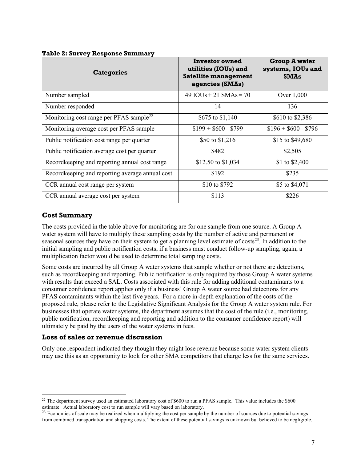| <b>Categories</b>                                   | <b>Investor owned</b><br>utilities (IOUs) and<br>Satellite management<br>agencies (SMAs) | <b>Group A water</b><br>systems, IOUs and<br><b>SMAs</b> |
|-----------------------------------------------------|------------------------------------------------------------------------------------------|----------------------------------------------------------|
| Number sampled                                      | 49 $IOUs + 21 SMAs = 70$                                                                 | Over 1,000                                               |
| Number responded                                    | 14                                                                                       | 136                                                      |
| Monitoring cost range per PFAS sample <sup>22</sup> | \$675 to \$1,140                                                                         | \$610 to \$2,386                                         |
| Monitoring average cost per PFAS sample             | $$199 + $600 = $799$                                                                     | $$196 + $600 = $796$                                     |
| Public notification cost range per quarter          | \$50 to \$1,216                                                                          | \$15 to \$49,680                                         |
| Public notification average cost per quarter        | \$482                                                                                    | \$2,505                                                  |
| Recordkeeping and reporting annual cost range       | \$12.50 to \$1,034                                                                       | \$1 to $$2,400$                                          |
| Recordkeeping and reporting average annual cost     | \$192                                                                                    | \$235                                                    |
| CCR annual cost range per system                    | \$10 to \$792                                                                            | \$5 to \$4,071                                           |
| CCR annual average cost per system                  | \$113                                                                                    | \$226                                                    |

#### **Table 2: Survey Response Summary**

## **Cost Summary**

The costs provided in the table above for monitoring are for one sample from one source. A Group A water system will have to multiply these sampling costs by the number of active and permanent or seasonal sources they have on their system to get a planning level estimate of costs<sup>[23](#page-6-1)</sup>. In addition to the initial sampling and public notification costs, if a business must conduct follow-up sampling, again, a multiplication factor would be used to determine total sampling costs.

Some costs are incurred by all Group A water systems that sample whether or not there are detections, such as recordkeeping and reporting. Public notification is only required by those Group A water systems with results that exceed a SAL. Costs associated with this rule for adding additional contaminants to a consumer confidence report applies only if a business' Group A water source had detections for any PFAS contaminants within the last five years. For a more in-depth explanation of the costs of the proposed rule, please refer to the Legislative Significant Analysis for the Group A water system rule. For businesses that operate water systems, the department assumes that the cost of the rule (i.e., monitoring, public notification, recordkeeping and reporting and addition to the consumer confidence report) will ultimately be paid by the users of the water systems in fees.

#### **Loss of sales or revenue discussion**

Only one respondent indicated they thought they might lose revenue because some water system clients may use this as an opportunity to look for other SMA competitors that charge less for the same services.

<span id="page-6-0"></span> $^{22}$  The department survey used an estimated laboratory cost of \$600 to run a PFAS sample. This value includes the \$600 estimate. Actual laboratory cost to run sample will vary based on laboratory.

<span id="page-6-1"></span> $23$  Economies of scale may be realized when multiplying the cost per sample by the number of sources due to potential savings from combined transportation and shipping costs. The extent of these potential savings is unknown but believed to be negligible.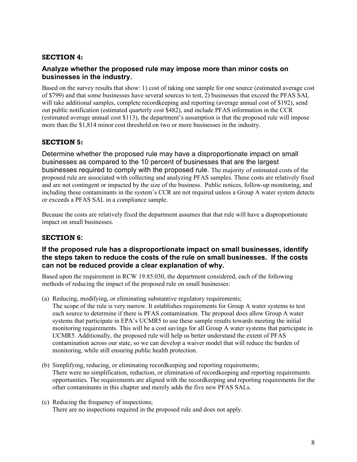## **SECTION 4:**

## **Analyze whether the proposed rule may impose more than minor costs on businesses in the industry.**

Based on the survey results that show: 1) cost of taking one sample for one source (estimated average cost of \$799) and that some businesses have several sources to test, 2) businesses that exceed the PFAS SAL will take additional samples, complete recordkeeping and reporting (average annual cost of \$192), send out public notification (estimated quarterly cost \$482), and include PFAS information in the CCR (estimated average annual cost \$113), the department's assumption is that the proposed rule will impose more than the \$1,814 minor cost threshold on two or more businesses in the industry.

## **SECTION 5:**

Determine whether the proposed rule may have a disproportionate impact on small businesses as compared to the 10 percent of businesses that are the largest businesses required to comply with the proposed rule. The majority of estimated costs of the proposed rule are associated with collecting and analyzing PFAS samples. These costs are relatively fixed and are not contingent or impacted by the size of the business. Public notices, follow-up monitoring, and including these contaminants in the system's CCR are not required unless a Group A water system detects or exceeds a PFAS SAL in a compliance sample.

Because the costs are relatively fixed the department assumes that that rule will have a disproportionate impact on small businesses.

## **SECTION 6:**

## **If the proposed rule has a disproportionate impact on small businesses, identify the steps taken to reduce the costs of the rule on small businesses. If the costs can not be reduced provide a clear explanation of why.**

Based upon the requirement in RCW 19.85.030, the department considered, each of the following methods of reducing the impact of the proposed rule on small businesses:

(a) Reducing, modifying, or eliminating substantive regulatory requirements;

The scope of the rule is very narrow. It establishes requirements for Group A water systems to test each source to determine if there is PFAS contamination. The proposal does allow Group A water systems that participate in EPA's UCMR5 to use these sample results towards meeting the initial monitoring requirements. This will be a cost savings for all Group A water systems that participate in UCMR5. Additionally, the proposed rule will help us better understand the extent of PFAS contamination across our state, so we can develop a waiver model that will reduce the burden of monitoring, while still ensuring public health protection.

- (b) Simplifying, reducing, or eliminating recordkeeping and reporting requirements; There were no simplification, reduction, or elimination of recordkeeping and reporting requirements opportunities. The requirements are aligned with the recordkeeping and reporting requirements for the other contaminants in this chapter and merely adds the five new PFAS SALs.
- (c) Reducing the frequency of inspections; There are no inspections required in the proposed rule and does not apply.